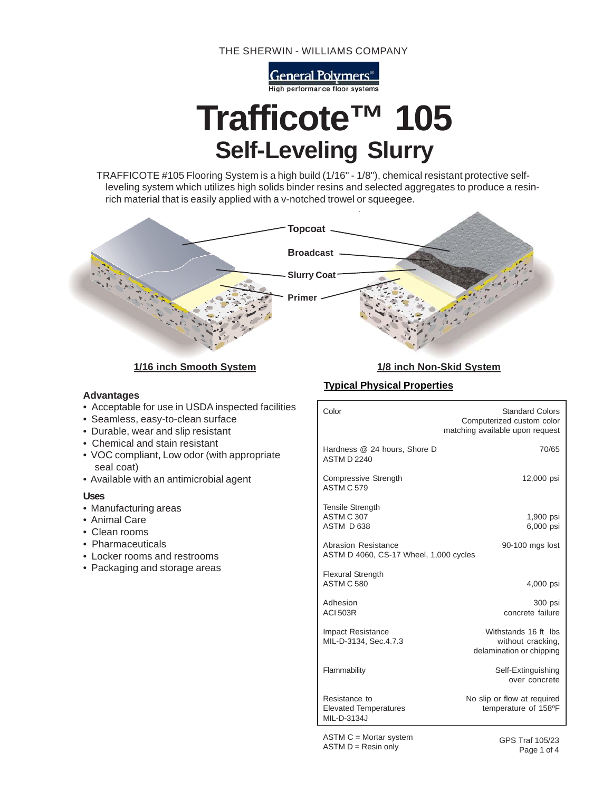THE SHERWIN - WILLIAMS COMPANY

General Polymers<sup>®</sup> High performance floor systems

# **Trafficote™ 105 Self-Leveling Slurry**

TRAFFICOTE #105 Flooring System is a high build (1/16" - 1/8"), chemical resistant protective selfleveling system which utilizes high solids binder resins and selected aggregates to produce a resinrich material that is easily applied with a v-notched trowel or squeegee.



**1/16 inch Smooth System 1/8 inch Non-Skid System**

# **Advantages**

- Acceptable for use in USDA inspected facilities
- Seamless, easy-to-clean surface
- Durable, wear and slip resistant
- Chemical and stain resistant
- VOC compliant, Low odor (with appropriate seal coat)
- Available with an antimicrobial agent

#### **Uses**

- Manufacturing areas
- Animal Care
- Clean rooms
- Pharmaceuticals
- Locker rooms and restrooms
- Packaging and storage areas

# **Typical Physical Properties**

| Color                                                                            | <b>Standard Colors</b><br>Computerized custom color<br>matching available upon request |  |  |  |
|----------------------------------------------------------------------------------|----------------------------------------------------------------------------------------|--|--|--|
| Hardness @ 24 hours, Shore D<br><b>ASTM D 2240</b>                               | 70/65                                                                                  |  |  |  |
| Compressive Strength<br><b>ASTM C 579</b>                                        | 12,000 psi                                                                             |  |  |  |
| <b>Tensile Strength</b><br>ASTM C 307<br>ASTM D 638                              | 1,900 psi<br>6,000 psi                                                                 |  |  |  |
| Abrasion Resistance<br>90-100 mgs lost<br>ASTM D 4060, CS-17 Wheel, 1,000 cycles |                                                                                        |  |  |  |
| <b>Flexural Strength</b><br>ASTM C 580                                           | 4,000 psi                                                                              |  |  |  |
| Adhesion<br><b>ACI 503R</b>                                                      | 300 psi<br>concrete failure                                                            |  |  |  |
| <b>Impact Resistance</b><br>MIL-D-3134, Sec.4.7.3                                | Withstands 16 ft lbs<br>without cracking,<br>delamination or chipping                  |  |  |  |
| Flammability                                                                     | Self-Extinguishing<br>over concrete                                                    |  |  |  |
| Resistance to<br><b>Elevated Temperatures</b><br>MII-D-3134J                     | No slip or flow at required<br>temperature of 158°F                                    |  |  |  |

ASTM C = Mortar system  $ASTM D = Resin only$ 

GPS Traf 105/23 Page 1 of 4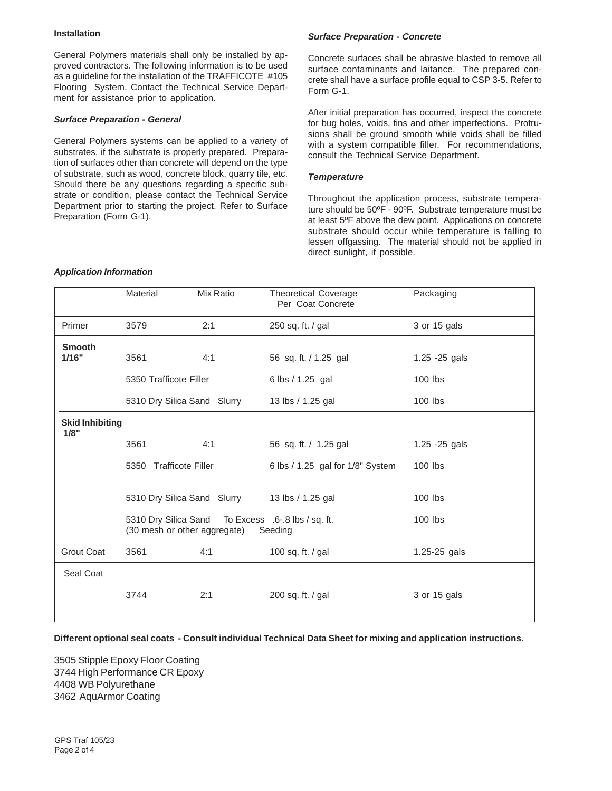### **Installation**

General Polymers materials shall only be installed by approved contractors. The following information is to be used as a guideline for the installation of the TRAFFICOTE #105 Flooring System. Contact the Technical Service Department for assistance prior to application.

#### *Surface Preparation - General*

General Polymers systems can be applied to a variety of substrates, if the substrate is properly prepared. Preparation of surfaces other than concrete will depend on the type of substrate, such as wood, concrete block, quarry tile, etc. Should there be any questions regarding a specific substrate or condition, please contact the Technical Service Department prior to starting the project. Refer to Surface Preparation (Form G-1).

# *Surface Preparation - Concrete*

Concrete surfaces shall be abrasive blasted to remove all surface contaminants and laitance. The prepared concrete shall have a surface profile equal to CSP 3-5. Refer to Form G-1.

After initial preparation has occurred, inspect the concrete for bug holes, voids, fins and other imperfections. Protrusions shall be ground smooth while voids shall be filled with a system compatible filler. For recommendations, consult the Technical Service Department.

#### *Temperature*

Throughout the application process, substrate temperature should be 50ºF - 90ºF. Substrate temperature must be at least 5ºF above the dew point. Applications on concrete substrate should occur while temperature is falling to lessen offgassing. The material should not be applied in direct sunlight, if possible.

|                                | Material                                                                                                   | Mix Ratio                   | <b>Theoretical Coverage</b><br>Per Coat Concrete | Packaging      |
|--------------------------------|------------------------------------------------------------------------------------------------------------|-----------------------------|--------------------------------------------------|----------------|
| Primer                         | 3579                                                                                                       | 2:1                         | 250 sq. ft. / gal                                | 3 or 15 gals   |
| <b>Smooth</b><br>1/16"         | 3561                                                                                                       | 4:1                         | 56 sq. ft. / 1.25 gal                            | 1.25 - 25 gals |
|                                | 5350 Trafficote Filler                                                                                     |                             | 6 lbs / 1.25 gal                                 | 100 lbs        |
|                                | 5310 Dry Silica Sand Slurry                                                                                |                             | 13 lbs / 1.25 gal                                | 100 lbs        |
| <b>Skid Inhibiting</b><br>1/8" |                                                                                                            |                             |                                                  |                |
|                                | 3561                                                                                                       | 4:1                         | 56 sq. ft. / 1.25 gal                            | 1.25 - 25 gals |
|                                | 5350 Trafficote Filler                                                                                     |                             | 6 lbs / 1.25 gal for 1/8" System                 | $100$ lbs      |
|                                |                                                                                                            | 5310 Dry Silica Sand Slurry | 13 lbs / 1.25 gal                                | $100$ lbs      |
|                                | 5310 Dry Silica Sand To Excess .6-.8 lbs / sq. ft.<br>$100$ lbs<br>(30 mesh or other aggregate)<br>Seeding |                             |                                                  |                |
| <b>Grout Coat</b>              | 3561                                                                                                       | 4:1                         | 100 sq. ft. / gal                                | 1.25-25 gals   |
| Seal Coat                      |                                                                                                            |                             |                                                  |                |
|                                | 3744                                                                                                       | 2:1                         | 200 sq. ft. / gal                                | 3 or 15 gals   |

#### *Application Information*

**Different optional seal coats - Consult individual Technical Data Sheet for mixing and application instructions.**

3505 Stipple Epoxy Floor Coating 3744 High Performance CR Epoxy 4408 WB Polyurethane 3462 AquArmor Coating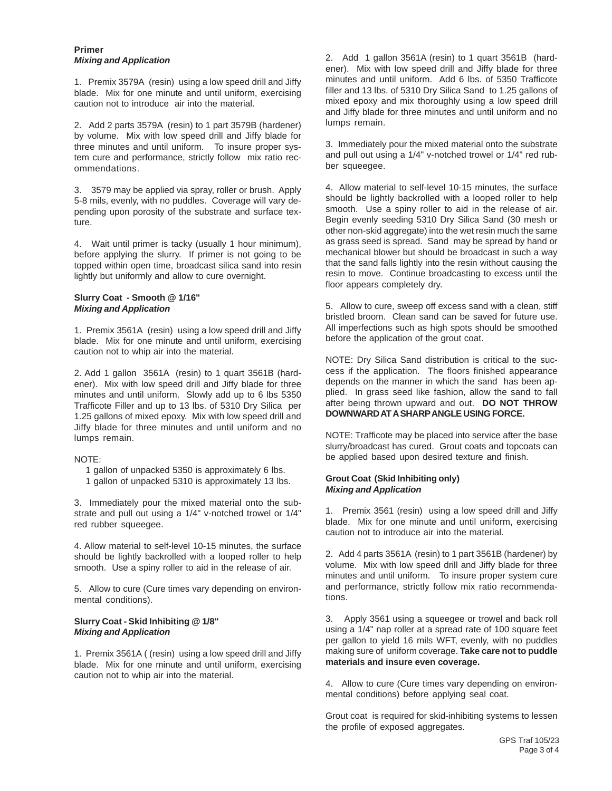#### **Primer** *Mixing and Application*

1. Premix 3579A (resin) using a low speed drill and Jiffy blade. Mix for one minute and until uniform, exercising caution not to introduce air into the material.

2. Add 2 parts 3579A (resin) to 1 part 3579B (hardener) by volume. Mix with low speed drill and Jiffy blade for three minutes and until uniform. To insure proper system cure and performance, strictly follow mix ratio recommendations.

3. 3579 may be applied via spray, roller or brush. Apply 5-8 mils, evenly, with no puddles. Coverage will vary depending upon porosity of the substrate and surface texture.

4. Wait until primer is tacky (usually 1 hour minimum), before applying the slurry. If primer is not going to be topped within open time, broadcast silica sand into resin lightly but uniformly and allow to cure overnight.

#### **Slurry Coat - Smooth @ 1/16"** *Mixing and Application*

1. Premix 3561A (resin) using a low speed drill and Jiffy blade. Mix for one minute and until uniform, exercising caution not to whip air into the material.

2. Add 1 gallon 3561A (resin) to 1 quart 3561B (hardener). Mix with low speed drill and Jiffy blade for three minutes and until uniform. Slowly add up to 6 lbs 5350 Trafficote Filler and up to 13 lbs. of 5310 Dry Silica per 1.25 gallons of mixed epoxy. Mix with low speed drill and Jiffy blade for three minutes and until uniform and no lumps remain.

#### NOTE:

 1 gallon of unpacked 5350 is approximately 6 lbs. 1 gallon of unpacked 5310 is approximately 13 lbs.

3. Immediately pour the mixed material onto the substrate and pull out using a 1/4" v-notched trowel or 1/4" red rubber squeegee.

4. Allow material to self-level 10-15 minutes, the surface should be lightly backrolled with a looped roller to help smooth. Use a spiny roller to aid in the release of air.

5. Allow to cure (Cure times vary depending on environmental conditions).

### **Slurry Coat - Skid Inhibiting @ 1/8"** *Mixing and Application*

1. Premix 3561A ( (resin) using a low speed drill and Jiffy blade. Mix for one minute and until uniform, exercising caution not to whip air into the material.

2. Add 1 gallon 3561A (resin) to 1 quart 3561B (hardener). Mix with low speed drill and Jiffy blade for three minutes and until uniform. Add 6 lbs. of 5350 Trafficote filler and 13 lbs. of 5310 Dry Silica Sand to 1.25 gallons of mixed epoxy and mix thoroughly using a low speed drill and Jiffy blade for three minutes and until uniform and no lumps remain.

3. Immediately pour the mixed material onto the substrate and pull out using a 1/4" v-notched trowel or 1/4" red rubber squeegee.

4. Allow material to self-level 10-15 minutes, the surface should be lightly backrolled with a looped roller to help smooth. Use a spiny roller to aid in the release of air. Begin evenly seeding 5310 Dry Silica Sand (30 mesh or other non-skid aggregate) into the wet resin much the same as grass seed is spread. Sand may be spread by hand or mechanical blower but should be broadcast in such a way that the sand falls lightly into the resin without causing the resin to move. Continue broadcasting to excess until the floor appears completely dry.

5. Allow to cure, sweep off excess sand with a clean, stiff bristled broom. Clean sand can be saved for future use. All imperfections such as high spots should be smoothed before the application of the grout coat.

NOTE: Dry Silica Sand distribution is critical to the success if the application. The floors finished appearance depends on the manner in which the sand has been applied. In grass seed like fashion, allow the sand to fall after being thrown upward and out. **DO NOT THROW DOWNWARD AT A SHARP ANGLE USING FORCE.**

NOTE: Trafficote may be placed into service after the base slurry/broadcast has cured. Grout coats and topcoats can be applied based upon desired texture and finish.

# **Grout Coat (Skid Inhibiting only)** *Mixing and Application*

1. Premix 3561 (resin) using a low speed drill and Jiffy blade. Mix for one minute and until uniform, exercising caution not to introduce air into the material.

2. Add 4 parts 3561A (resin) to 1 part 3561B (hardener) by volume. Mix with low speed drill and Jiffy blade for three minutes and until uniform. To insure proper system cure and performance, strictly follow mix ratio recommendations.

3. Apply 3561 using a squeegee or trowel and back roll using a 1/4" nap roller at a spread rate of 100 square feet per gallon to yield 16 mils WFT, evenly, with no puddles making sure of uniform coverage. **Take care not to puddle materials and insure even coverage.**

4. Allow to cure (Cure times vary depending on environmental conditions) before applying seal coat.

Grout coat is required for skid-inhibiting systems to lessen the profile of exposed aggregates.